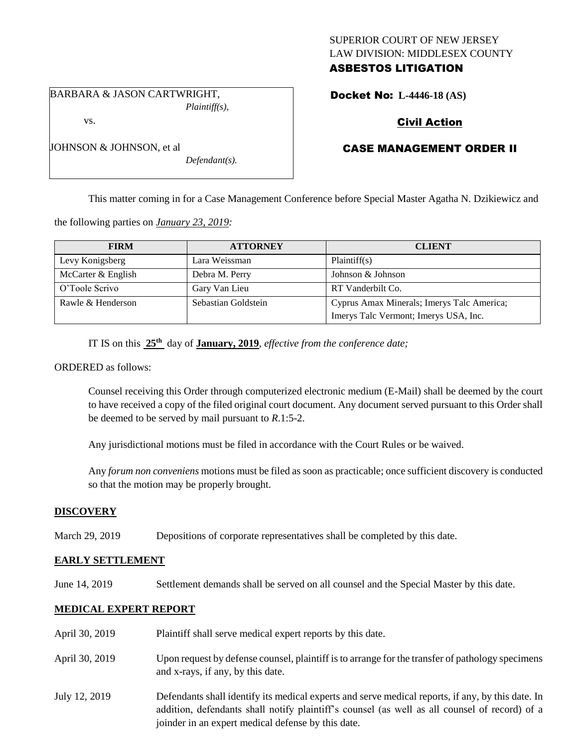## SUPERIOR COURT OF NEW JERSEY LAW DIVISION: MIDDLESEX COUNTY ASBESTOS LITIGATION

BARBARA & JASON CARTWRIGHT, *Plaintiff(s),*

vs.

JOHNSON & JOHNSON, et al

Docket No: **L-4446-18 (AS)** 

# Civil Action

# CASE MANAGEMENT ORDER II

This matter coming in for a Case Management Conference before Special Master Agatha N. Dzikiewicz and

the following parties on *January 23, 2019:*

| <b>FIRM</b>        | <b>ATTORNEY</b>     | <b>CLIENT</b>                              |
|--------------------|---------------------|--------------------------------------------|
| Levy Konigsberg    | Lara Weissman       | Plaintiff(s)                               |
| McCarter & English | Debra M. Perry      | Johnson & Johnson                          |
| O'Toole Scrivo     | Gary Van Lieu       | RT Vanderbilt Co.                          |
| Rawle & Henderson  | Sebastian Goldstein | Cyprus Amax Minerals; Imerys Talc America; |
|                    |                     | Imerys Talc Vermont; Imerys USA, Inc.      |

IT IS on this  $25<sup>th</sup>$  day of **January, 2019**, *effective from the conference date*;

*Defendant(s).*

ORDERED as follows:

Counsel receiving this Order through computerized electronic medium (E-Mail) shall be deemed by the court to have received a copy of the filed original court document. Any document served pursuant to this Order shall be deemed to be served by mail pursuant to *R*.1:5-2.

Any jurisdictional motions must be filed in accordance with the Court Rules or be waived.

Any *forum non conveniens* motions must be filed as soon as practicable; once sufficient discovery is conducted so that the motion may be properly brought.

## **DISCOVERY**

March 29, 2019 Depositions of corporate representatives shall be completed by this date.

## **EARLY SETTLEMENT**

June 14, 2019 Settlement demands shall be served on all counsel and the Special Master by this date.

### **MEDICAL EXPERT REPORT**

| April 30, 2019 | Plaintiff shall serve medical expert reports by this date.                                                                                                                                                                                               |
|----------------|----------------------------------------------------------------------------------------------------------------------------------------------------------------------------------------------------------------------------------------------------------|
| April 30, 2019 | Upon request by defense counsel, plaintiff is to arrange for the transfer of pathology specimens<br>and x-rays, if any, by this date.                                                                                                                    |
| July 12, 2019  | Defendants shall identify its medical experts and serve medical reports, if any, by this date. In<br>addition, defendants shall notify plaintiff's counsel (as well as all counsel of record) of a<br>joinder in an expert medical defense by this date. |